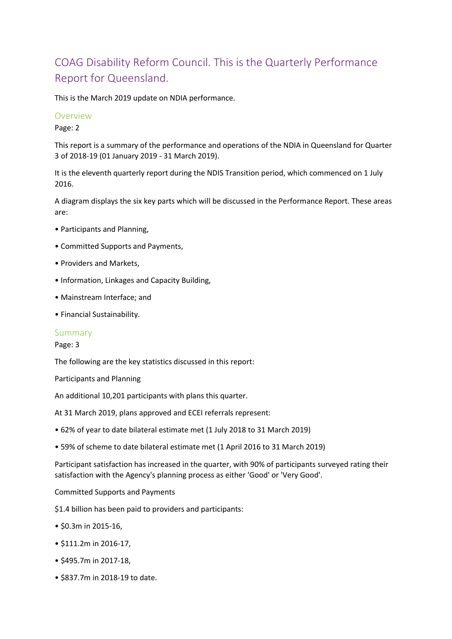# COAG Disability Reform Council. This is the Quarterly Performance Report for Queensland.

This is the March 2019 update on NDIA performance.

## **Overview**

Page: 2

This report is a summary of the performance and operations of the NDIA in Queensland for Quarter 3 of 2018-19 (01 January 2019 - 31 March 2019).

It is the eleventh quarterly report during the NDIS Transition period, which commenced on 1 July 2016.

A diagram displays the six key parts which will be discussed in the Performance Report. These areas are:

- Participants and Planning,
- Committed Supports and Payments,
- Providers and Markets,
- Information, Linkages and Capacity Building,
- Mainstream Interface; and
- Financial Sustainability.

## Summary

#### Page: 3

The following are the key statistics discussed in this report:

Participants and Planning

An additional 10,201 participants with plans this quarter.

At 31 March 2019, plans approved and ECEI referrals represent:

- 62% of year to date bilateral estimate met (1 July 2018 to 31 March 2019)
- 59% of scheme to date bilateral estimate met (1 April 2016 to 31 March 2019)

Participant satisfaction has increased in the quarter, with 90% of participants surveyed rating their satisfaction with the Agency's planning process as either 'Good' or 'Very Good'.

Committed Supports and Payments

\$1.4 billion has been paid to providers and participants:

- \$0.3m in 2015-16,
- \$111.2m in 2016-17,
- \$495.7m in 2017-18,
- \$837.7m in 2018-19 to date.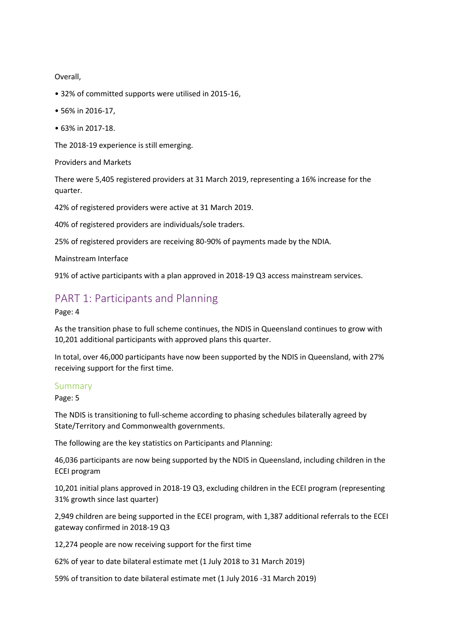Overall,

- 32% of committed supports were utilised in 2015-16,
- 56% in 2016-17,
- 63% in 2017-18.

The 2018-19 experience is still emerging.

Providers and Markets

There were 5,405 registered providers at 31 March 2019, representing a 16% increase for the quarter.

42% of registered providers were active at 31 March 2019.

40% of registered providers are individuals/sole traders.

25% of registered providers are receiving 80-90% of payments made by the NDIA.

Mainstream Interface

91% of active participants with a plan approved in 2018-19 Q3 access mainstream services.

## PART 1: Participants and Planning

Page: 4

As the transition phase to full scheme continues, the NDIS in Queensland continues to grow with 10,201 additional participants with approved plans this quarter.

In total, over 46,000 participants have now been supported by the NDIS in Queensland, with 27% receiving support for the first time.

#### Summary

Page: 5

The NDIS is transitioning to full-scheme according to phasing schedules bilaterally agreed by State/Territory and Commonwealth governments.

The following are the key statistics on Participants and Planning:

46,036 participants are now being supported by the NDIS in Queensland, including children in the ECEI program

10,201 initial plans approved in 2018-19 Q3, excluding children in the ECEI program (representing 31% growth since last quarter)

2,949 children are being supported in the ECEI program, with 1,387 additional referrals to the ECEI gateway confirmed in 2018-19 Q3

12,274 people are now receiving support for the first time

62% of year to date bilateral estimate met (1 July 2018 to 31 March 2019)

59% of transition to date bilateral estimate met (1 July 2016 -31 March 2019)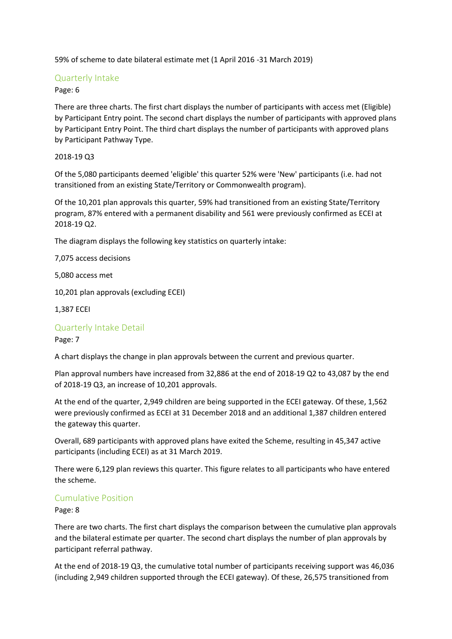59% of scheme to date bilateral estimate met (1 April 2016 -31 March 2019)

## Quarterly Intake

Page: 6

There are three charts. The first chart displays the number of participants with access met (Eligible) by Participant Entry point. The second chart displays the number of participants with approved plans by Participant Entry Point. The third chart displays the number of participants with approved plans by Participant Pathway Type.

2018-19 Q3

Of the 5,080 participants deemed 'eligible' this quarter 52% were 'New' participants (i.e. had not transitioned from an existing State/Territory or Commonwealth program).

Of the 10,201 plan approvals this quarter, 59% had transitioned from an existing State/Territory program, 87% entered with a permanent disability and 561 were previously confirmed as ECEI at 2018-19 Q2.

The diagram displays the following key statistics on quarterly intake:

7,075 access decisions

5,080 access met

10,201 plan approvals (excluding ECEI)

1,387 ECEI

## Quarterly Intake Detail

Page: 7

A chart displays the change in plan approvals between the current and previous quarter.

Plan approval numbers have increased from 32,886 at the end of 2018-19 Q2 to 43,087 by the end of 2018-19 Q3, an increase of 10,201 approvals.

At the end of the quarter, 2,949 children are being supported in the ECEI gateway. Of these, 1,562 were previously confirmed as ECEI at 31 December 2018 and an additional 1,387 children entered the gateway this quarter.

Overall, 689 participants with approved plans have exited the Scheme, resulting in 45,347 active participants (including ECEI) as at 31 March 2019.

There were 6,129 plan reviews this quarter. This figure relates to all participants who have entered the scheme.

## Cumulative Position

Page: 8

There are two charts. The first chart displays the comparison between the cumulative plan approvals and the bilateral estimate per quarter. The second chart displays the number of plan approvals by participant referral pathway.

At the end of 2018-19 Q3, the cumulative total number of participants receiving support was 46,036 (including 2,949 children supported through the ECEI gateway). Of these, 26,575 transitioned from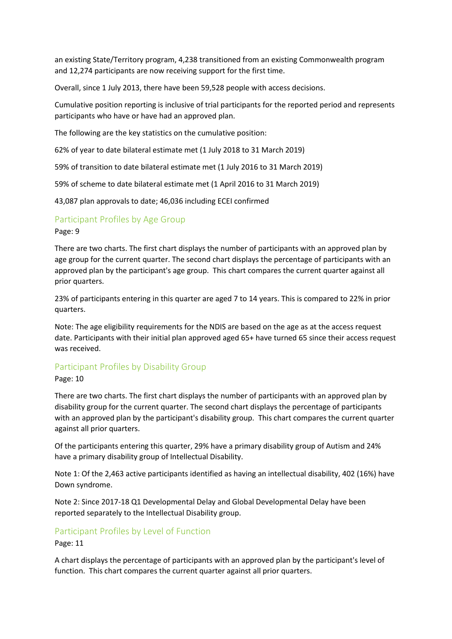an existing State/Territory program, 4,238 transitioned from an existing Commonwealth program and 12,274 participants are now receiving support for the first time.

Overall, since 1 July 2013, there have been 59,528 people with access decisions.

Cumulative position reporting is inclusive of trial participants for the reported period and represents participants who have or have had an approved plan.

The following are the key statistics on the cumulative position:

62% of year to date bilateral estimate met (1 July 2018 to 31 March 2019)

59% of transition to date bilateral estimate met (1 July 2016 to 31 March 2019)

59% of scheme to date bilateral estimate met (1 April 2016 to 31 March 2019)

43,087 plan approvals to date; 46,036 including ECEI confirmed

## Participant Profiles by Age Group

#### Page: 9

There are two charts. The first chart displays the number of participants with an approved plan by age group for the current quarter. The second chart displays the percentage of participants with an approved plan by the participant's age group. This chart compares the current quarter against all prior quarters.

23% of participants entering in this quarter are aged 7 to 14 years. This is compared to 22% in prior quarters.

Note: The age eligibility requirements for the NDIS are based on the age as at the access request date. Participants with their initial plan approved aged 65+ have turned 65 since their access request was received.

## Participant Profiles by Disability Group

Page: 10

There are two charts. The first chart displays the number of participants with an approved plan by disability group for the current quarter. The second chart displays the percentage of participants with an approved plan by the participant's disability group. This chart compares the current quarter against all prior quarters.

Of the participants entering this quarter, 29% have a primary disability group of Autism and 24% have a primary disability group of Intellectual Disability.

Note 1: Of the 2,463 active participants identified as having an intellectual disability, 402 (16%) have Down syndrome.

Note 2: Since 2017-18 Q1 Developmental Delay and Global Developmental Delay have been reported separately to the Intellectual Disability group.

## Participant Profiles by Level of Function

#### Page: 11

A chart displays the percentage of participants with an approved plan by the participant's level of function. This chart compares the current quarter against all prior quarters.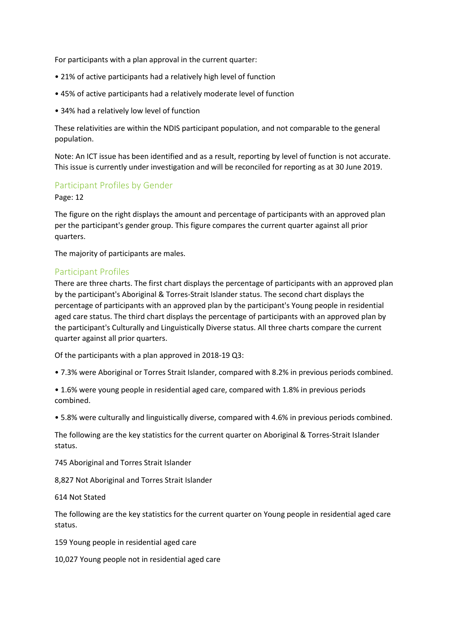For participants with a plan approval in the current quarter:

- 21% of active participants had a relatively high level of function
- 45% of active participants had a relatively moderate level of function
- 34% had a relatively low level of function

These relativities are within the NDIS participant population, and not comparable to the general population.

Note: An ICT issue has been identified and as a result, reporting by level of function is not accurate. This issue is currently under investigation and will be reconciled for reporting as at 30 June 2019.

## Participant Profiles by Gender

#### Page: 12

The figure on the right displays the amount and percentage of participants with an approved plan per the participant's gender group. This figure compares the current quarter against all prior quarters.

The majority of participants are males.

## Participant Profiles

There are three charts. The first chart displays the percentage of participants with an approved plan by the participant's Aboriginal & Torres-Strait Islander status. The second chart displays the percentage of participants with an approved plan by the participant's Young people in residential aged care status. The third chart displays the percentage of participants with an approved plan by the participant's Culturally and Linguistically Diverse status. All three charts compare the current quarter against all prior quarters.

Of the participants with a plan approved in 2018-19 Q3:

• 7.3% were Aboriginal or Torres Strait Islander, compared with 8.2% in previous periods combined.

• 1.6% were young people in residential aged care, compared with 1.8% in previous periods combined.

• 5.8% were culturally and linguistically diverse, compared with 4.6% in previous periods combined.

The following are the key statistics for the current quarter on Aboriginal & Torres-Strait Islander status.

745 Aboriginal and Torres Strait Islander

8,827 Not Aboriginal and Torres Strait Islander

614 Not Stated

The following are the key statistics for the current quarter on Young people in residential aged care status.

159 Young people in residential aged care

10,027 Young people not in residential aged care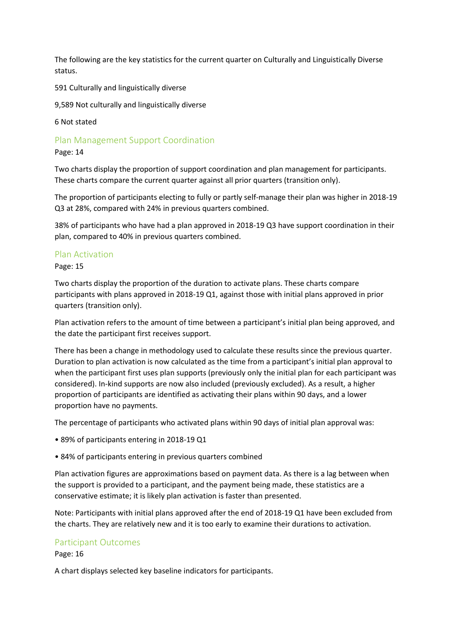The following are the key statistics for the current quarter on Culturally and Linguistically Diverse status.

591 Culturally and linguistically diverse

9,589 Not culturally and linguistically diverse

6 Not stated

Plan Management Support Coordination

Page: 14

Two charts display the proportion of support coordination and plan management for participants. These charts compare the current quarter against all prior quarters (transition only).

The proportion of participants electing to fully or partly self-manage their plan was higher in 2018-19 Q3 at 28%, compared with 24% in previous quarters combined.

38% of participants who have had a plan approved in 2018-19 Q3 have support coordination in their plan, compared to 40% in previous quarters combined.

## Plan Activation

Page: 15

Two charts display the proportion of the duration to activate plans. These charts compare participants with plans approved in 2018-19 Q1, against those with initial plans approved in prior quarters (transition only).

Plan activation refers to the amount of time between a participant's initial plan being approved, and the date the participant first receives support.

There has been a change in methodology used to calculate these results since the previous quarter. Duration to plan activation is now calculated as the time from a participant's initial plan approval to when the participant first uses plan supports (previously only the initial plan for each participant was considered). In-kind supports are now also included (previously excluded). As a result, a higher proportion of participants are identified as activating their plans within 90 days, and a lower proportion have no payments.

The percentage of participants who activated plans within 90 days of initial plan approval was:

- 89% of participants entering in 2018-19 Q1
- 84% of participants entering in previous quarters combined

Plan activation figures are approximations based on payment data. As there is a lag between when the support is provided to a participant, and the payment being made, these statistics are a conservative estimate; it is likely plan activation is faster than presented.

Note: Participants with initial plans approved after the end of 2018-19 Q1 have been excluded from the charts. They are relatively new and it is too early to examine their durations to activation.

## Participant Outcomes

Page: 16

A chart displays selected key baseline indicators for participants.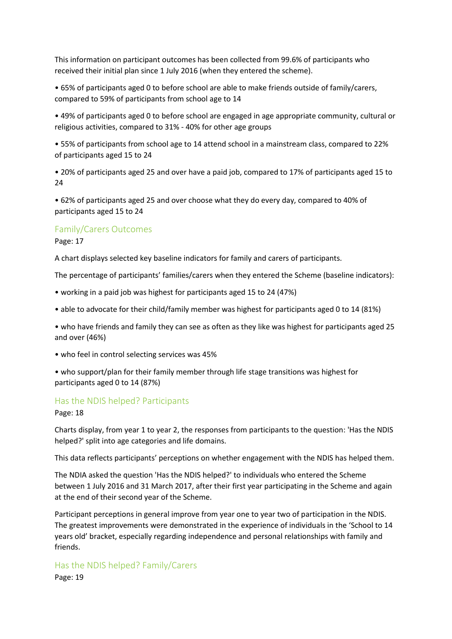This information on participant outcomes has been collected from 99.6% of participants who received their initial plan since 1 July 2016 (when they entered the scheme).

• 65% of participants aged 0 to before school are able to make friends outside of family/carers, compared to 59% of participants from school age to 14

• 49% of participants aged 0 to before school are engaged in age appropriate community, cultural or religious activities, compared to 31% - 40% for other age groups

• 55% of participants from school age to 14 attend school in a mainstream class, compared to 22% of participants aged 15 to 24

• 20% of participants aged 25 and over have a paid job, compared to 17% of participants aged 15 to 24

• 62% of participants aged 25 and over choose what they do every day, compared to 40% of participants aged 15 to 24

## Family/Carers Outcomes

Page: 17

A chart displays selected key baseline indicators for family and carers of participants.

The percentage of participants' families/carers when they entered the Scheme (baseline indicators):

- working in a paid job was highest for participants aged 15 to 24 (47%)
- able to advocate for their child/family member was highest for participants aged 0 to 14 (81%)

• who have friends and family they can see as often as they like was highest for participants aged 25 and over (46%)

- who feel in control selecting services was 45%
- who support/plan for their family member through life stage transitions was highest for participants aged 0 to 14 (87%)

## Has the NDIS helped? Participants

Page: 18

Charts display, from year 1 to year 2, the responses from participants to the question: 'Has the NDIS helped?' split into age categories and life domains.

This data reflects participants' perceptions on whether engagement with the NDIS has helped them.

The NDIA asked the question 'Has the NDIS helped?' to individuals who entered the Scheme between 1 July 2016 and 31 March 2017, after their first year participating in the Scheme and again at the end of their second year of the Scheme.

Participant perceptions in general improve from year one to year two of participation in the NDIS. The greatest improvements were demonstrated in the experience of individuals in the 'School to 14 years old' bracket, especially regarding independence and personal relationships with family and friends.

## Has the NDIS helped? Family/Carers

Page: 19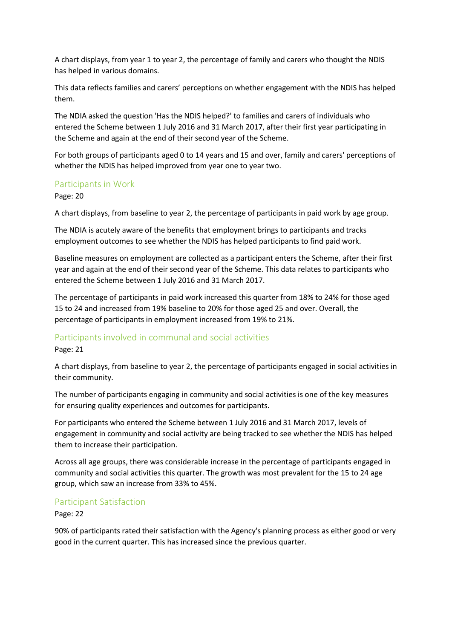A chart displays, from year 1 to year 2, the percentage of family and carers who thought the NDIS has helped in various domains.

This data reflects families and carers' perceptions on whether engagement with the NDIS has helped them.

The NDIA asked the question 'Has the NDIS helped?' to families and carers of individuals who entered the Scheme between 1 July 2016 and 31 March 2017, after their first year participating in the Scheme and again at the end of their second year of the Scheme.

For both groups of participants aged 0 to 14 years and 15 and over, family and carers' perceptions of whether the NDIS has helped improved from year one to year two.

## Participants in Work

#### Page: 20

A chart displays, from baseline to year 2, the percentage of participants in paid work by age group.

The NDIA is acutely aware of the benefits that employment brings to participants and tracks employment outcomes to see whether the NDIS has helped participants to find paid work.

Baseline measures on employment are collected as a participant enters the Scheme, after their first year and again at the end of their second year of the Scheme. This data relates to participants who entered the Scheme between 1 July 2016 and 31 March 2017.

The percentage of participants in paid work increased this quarter from 18% to 24% for those aged 15 to 24 and increased from 19% baseline to 20% for those aged 25 and over. Overall, the percentage of participants in employment increased from 19% to 21%.

#### Participants involved in communal and social activities

Page: 21

A chart displays, from baseline to year 2, the percentage of participants engaged in social activities in their community.

The number of participants engaging in community and social activities is one of the key measures for ensuring quality experiences and outcomes for participants.

For participants who entered the Scheme between 1 July 2016 and 31 March 2017, levels of engagement in community and social activity are being tracked to see whether the NDIS has helped them to increase their participation.

Across all age groups, there was considerable increase in the percentage of participants engaged in community and social activities this quarter. The growth was most prevalent for the 15 to 24 age group, which saw an increase from 33% to 45%.

## Participant Satisfaction

Page: 22

90% of participants rated their satisfaction with the Agency's planning process as either good or very good in the current quarter. This has increased since the previous quarter.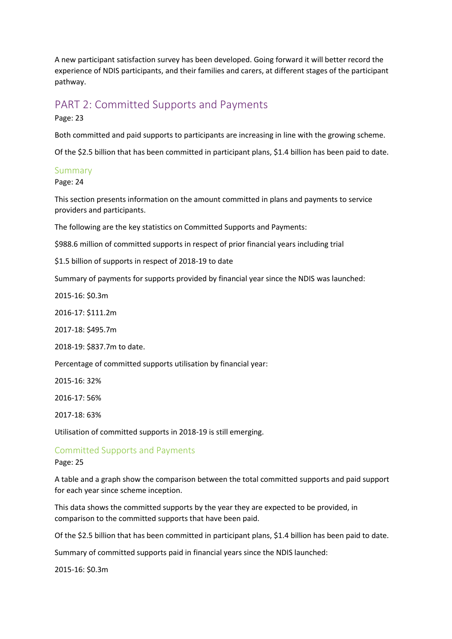A new participant satisfaction survey has been developed. Going forward it will better record the experience of NDIS participants, and their families and carers, at different stages of the participant pathway.

## PART 2: Committed Supports and Payments

Page: 23

Both committed and paid supports to participants are increasing in line with the growing scheme.

Of the \$2.5 billion that has been committed in participant plans, \$1.4 billion has been paid to date.

## Summary

Page: 24

This section presents information on the amount committed in plans and payments to service providers and participants.

The following are the key statistics on Committed Supports and Payments:

\$988.6 million of committed supports in respect of prior financial years including trial

\$1.5 billion of supports in respect of 2018-19 to date

Summary of payments for supports provided by financial year since the NDIS was launched:

2015-16: \$0.3m

2016-17: \$111.2m

2017-18: \$495.7m

2018-19: \$837.7m to date.

Percentage of committed supports utilisation by financial year:

2015-16: 32%

2016-17: 56%

2017-18: 63%

Utilisation of committed supports in 2018-19 is still emerging.

## Committed Supports and Payments

#### Page: 25

A table and a graph show the comparison between the total committed supports and paid support for each year since scheme inception.

This data shows the committed supports by the year they are expected to be provided, in comparison to the committed supports that have been paid.

Of the \$2.5 billion that has been committed in participant plans, \$1.4 billion has been paid to date.

Summary of committed supports paid in financial years since the NDIS launched:

2015-16: \$0.3m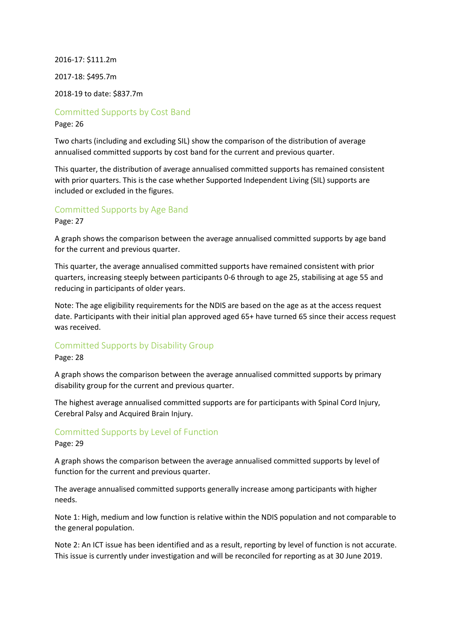2016-17: \$111.2m 2017-18: \$495.7m 2018-19 to date: \$837.7m

Committed Supports by Cost Band

Page: 26

Two charts (including and excluding SIL) show the comparison of the distribution of average annualised committed supports by cost band for the current and previous quarter.

This quarter, the distribution of average annualised committed supports has remained consistent with prior quarters. This is the case whether Supported Independent Living (SIL) supports are included or excluded in the figures.

Committed Supports by Age Band

Page: 27

A graph shows the comparison between the average annualised committed supports by age band for the current and previous quarter.

This quarter, the average annualised committed supports have remained consistent with prior quarters, increasing steeply between participants 0-6 through to age 25, stabilising at age 55 and reducing in participants of older years.

Note: The age eligibility requirements for the NDIS are based on the age as at the access request date. Participants with their initial plan approved aged 65+ have turned 65 since their access request was received.

## Committed Supports by Disability Group

Page: 28

A graph shows the comparison between the average annualised committed supports by primary disability group for the current and previous quarter.

The highest average annualised committed supports are for participants with Spinal Cord Injury, Cerebral Palsy and Acquired Brain Injury.

## Committed Supports by Level of Function

Page: 29

A graph shows the comparison between the average annualised committed supports by level of function for the current and previous quarter.

The average annualised committed supports generally increase among participants with higher needs.

Note 1: High, medium and low function is relative within the NDIS population and not comparable to the general population.

Note 2: An ICT issue has been identified and as a result, reporting by level of function is not accurate. This issue is currently under investigation and will be reconciled for reporting as at 30 June 2019.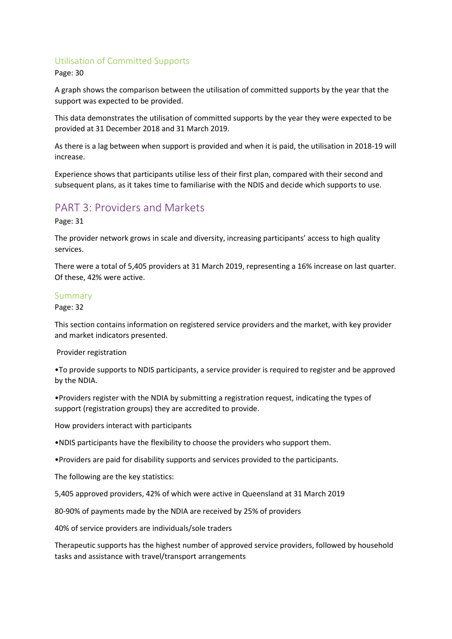## Utilisation of Committed Supports

Page: 30

A graph shows the comparison between the utilisation of committed supports by the year that the support was expected to be provided.

This data demonstrates the utilisation of committed supports by the year they were expected to be provided at 31 December 2018 and 31 March 2019.

As there is a lag between when support is provided and when it is paid, the utilisation in 2018-19 will increase.

Experience shows that participants utilise less of their first plan, compared with their second and subsequent plans, as it takes time to familiarise with the NDIS and decide which supports to use.

## PART 3: Providers and Markets

Page: 31

The provider network grows in scale and diversity, increasing participants' access to high quality services.

There were a total of 5,405 providers at 31 March 2019, representing a 16% increase on last quarter. Of these, 42% were active.

## Summary

Page: 32

This section contains information on registered service providers and the market, with key provider and market indicators presented.

Provider registration

•To provide supports to NDIS participants, a service provider is required to register and be approved by the NDIA.

•Providers register with the NDIA by submitting a registration request, indicating the types of support (registration groups) they are accredited to provide.

How providers interact with participants

•NDIS participants have the flexibility to choose the providers who support them.

•Providers are paid for disability supports and services provided to the participants.

The following are the key statistics:

5,405 approved providers, 42% of which were active in Queensland at 31 March 2019

80-90% of payments made by the NDIA are received by 25% of providers

40% of service providers are individuals/sole traders

Therapeutic supports has the highest number of approved service providers, followed by household tasks and assistance with travel/transport arrangements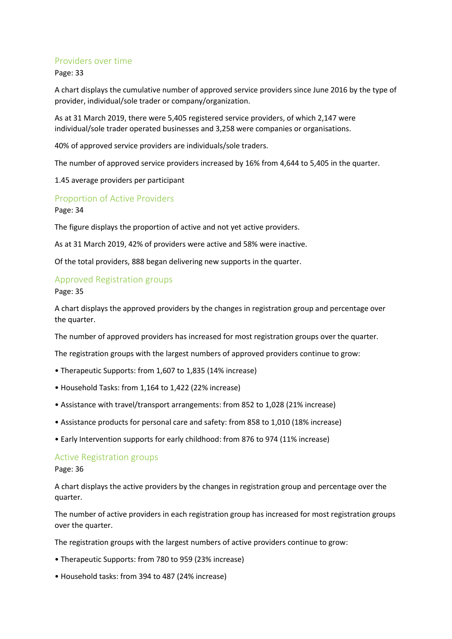## Providers over time

Page: 33

A chart displays the cumulative number of approved service providers since June 2016 by the type of provider, individual/sole trader or company/organization.

As at 31 March 2019, there were 5,405 registered service providers, of which 2,147 were individual/sole trader operated businesses and 3,258 were companies or organisations.

40% of approved service providers are individuals/sole traders.

The number of approved service providers increased by 16% from 4,644 to 5,405 in the quarter.

1.45 average providers per participant

## Proportion of Active Providers

Page: 34

The figure displays the proportion of active and not yet active providers.

As at 31 March 2019, 42% of providers were active and 58% were inactive.

Of the total providers, 888 began delivering new supports in the quarter.

#### Approved Registration groups

Page: 35

A chart displays the approved providers by the changes in registration group and percentage over the quarter.

The number of approved providers has increased for most registration groups over the quarter.

The registration groups with the largest numbers of approved providers continue to grow:

- Therapeutic Supports: from 1,607 to 1,835 (14% increase)
- Household Tasks: from 1,164 to 1,422 (22% increase)
- Assistance with travel/transport arrangements: from 852 to 1,028 (21% increase)
- Assistance products for personal care and safety: from 858 to 1,010 (18% increase)
- Early Intervention supports for early childhood: from 876 to 974 (11% increase)

#### Active Registration groups

#### Page: 36

A chart displays the active providers by the changes in registration group and percentage over the quarter.

The number of active providers in each registration group has increased for most registration groups over the quarter.

The registration groups with the largest numbers of active providers continue to grow:

- Therapeutic Supports: from 780 to 959 (23% increase)
- Household tasks: from 394 to 487 (24% increase)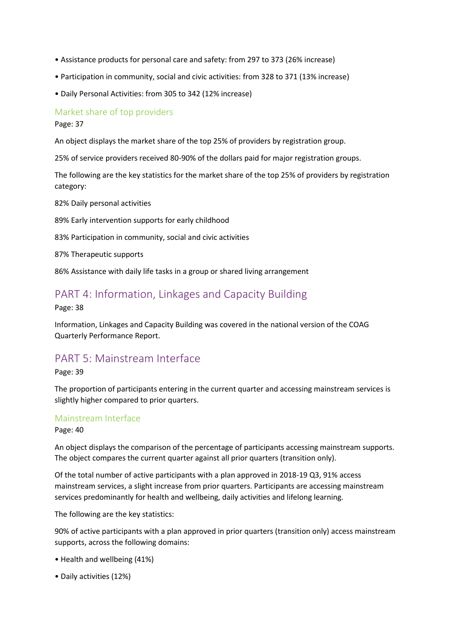- Assistance products for personal care and safety: from 297 to 373 (26% increase)
- Participation in community, social and civic activities: from 328 to 371 (13% increase)
- Daily Personal Activities: from 305 to 342 (12% increase)

## Market share of top providers

Page: 37

An object displays the market share of the top 25% of providers by registration group.

25% of service providers received 80-90% of the dollars paid for major registration groups.

The following are the key statistics for the market share of the top 25% of providers by registration category:

82% Daily personal activities

89% Early intervention supports for early childhood

83% Participation in community, social and civic activities

87% Therapeutic supports

86% Assistance with daily life tasks in a group or shared living arrangement

## PART 4: Information, Linkages and Capacity Building

Page: 38

Information, Linkages and Capacity Building was covered in the national version of the COAG Quarterly Performance Report.

## PART 5: Mainstream Interface

Page: 39

The proportion of participants entering in the current quarter and accessing mainstream services is slightly higher compared to prior quarters.

## Mainstream Interface

Page: 40

An object displays the comparison of the percentage of participants accessing mainstream supports. The object compares the current quarter against all prior quarters (transition only).

Of the total number of active participants with a plan approved in 2018-19 Q3, 91% access mainstream services, a slight increase from prior quarters. Participants are accessing mainstream services predominantly for health and wellbeing, daily activities and lifelong learning.

The following are the key statistics:

90% of active participants with a plan approved in prior quarters (transition only) access mainstream supports, across the following domains:

- Health and wellbeing (41%)
- Daily activities (12%)